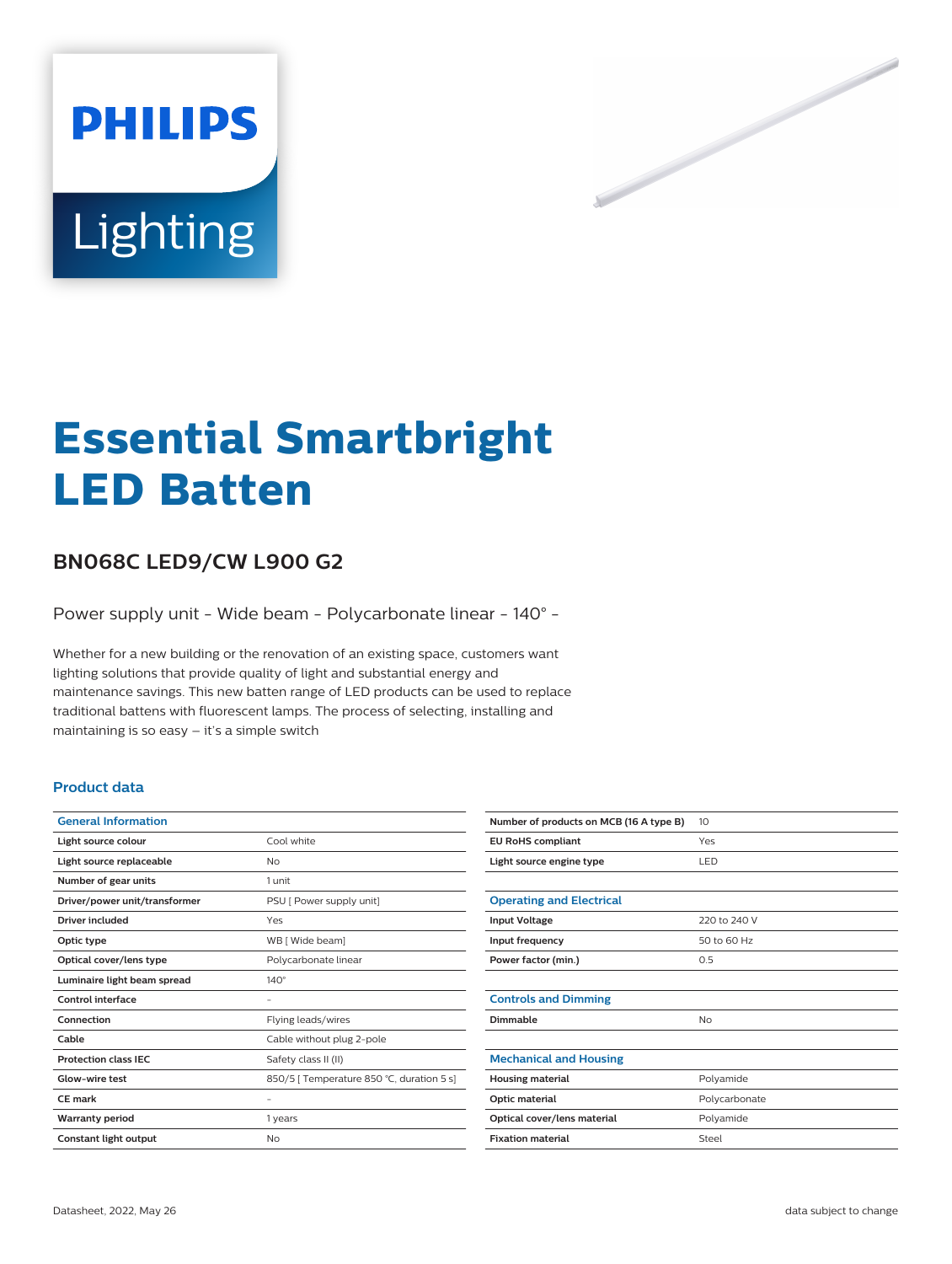

# **Essential Smartbright LED Batten**

# **BN068C LED9/CW L900 G2**

Power supply unit - Wide beam - Polycarbonate linear - 140° -

Whether for a new building or the renovation of an existing space, customers want lighting solutions that provide quality of light and substantial energy and maintenance savings. This new batten range of LED products can be used to replace traditional battens with fluorescent lamps. The process of selecting, installing and maintaining is so easy – it's a simple switch

### **Product data**

| <b>General Information</b>    |                                           |
|-------------------------------|-------------------------------------------|
| Light source colour           | Cool white                                |
| Light source replaceable      | No                                        |
| Number of gear units          | 1 unit                                    |
| Driver/power unit/transformer | PSU [ Power supply unit]                  |
| Driver included               | Yes                                       |
| Optic type                    | WB [ Wide beam]                           |
| Optical cover/lens type       | Polycarbonate linear                      |
| Luminaire light beam spread   | $140^\circ$                               |
| Control interface             |                                           |
| Connection                    | Flying leads/wires                        |
| Cable                         | Cable without plug 2-pole                 |
| <b>Protection class IEC</b>   | Safety class II (II)                      |
| Glow-wire test                | 850/5   Temperature 850 °C, duration 5 s] |
| <b>CE</b> mark                |                                           |
| <b>Warranty period</b>        | 1 years                                   |
| Constant light output         | No                                        |

| Number of products on MCB (16 A type B) | 10            |
|-----------------------------------------|---------------|
| <b>EU RoHS compliant</b>                | Yes           |
| Light source engine type                | LED           |
|                                         |               |
| <b>Operating and Electrical</b>         |               |
| <b>Input Voltage</b>                    | 220 to 240 V  |
| Input frequency                         | 50 to 60 Hz   |
| Power factor (min.)                     | 0.5           |
|                                         |               |
| <b>Controls and Dimming</b>             |               |
| Dimmable                                | No            |
|                                         |               |
| <b>Mechanical and Housing</b>           |               |
| <b>Housing material</b>                 | Polyamide     |
| Optic material                          | Polycarbonate |
| Optical cover/lens material             | Polyamide     |
| <b>Fixation material</b>                | Steel         |
|                                         |               |